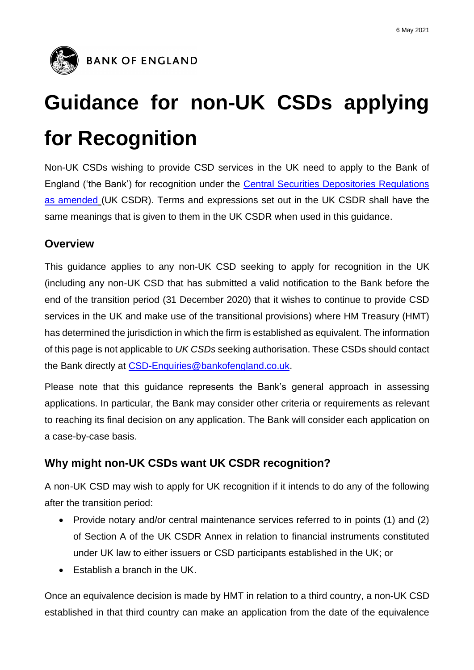

# **Guidance for non-UK CSDs applying for Recognition**

Non-UK CSDs wishing to provide CSD services in the UK need to apply to the Bank of England ('the Bank') for recognition under the [Central Securities Depositories Regulations](https://www.legislation.gov.uk/uksi/2018/1320/contents/made) [as amended](https://www.legislation.gov.uk/uksi/2018/1320/contents/made) (UK CSDR). Terms and expressions set out in the UK CSDR shall have the same meanings that is given to them in the UK CSDR when used in this guidance.

## **Overview**

This guidance applies to any non-UK CSD seeking to apply for recognition in the UK (including any non-UK CSD that has submitted a valid notification to the Bank before the end of the transition period (31 December 2020) that it wishes to continue to provide CSD services in the UK and make use of the transitional provisions) where HM Treasury (HMT) has determined the jurisdiction in which the firm is established as equivalent. The information of this page is not applicable to *UK CSDs* seeking authorisation. These CSDs should contact the Bank directly at [CSD-Enquiries@bankofengland.co.uk.](mailto:CSD-Enquiries@bankofengland.co.uk)

Please note that this guidance represents the Bank's general approach in assessing applications. In particular, the Bank may consider other criteria or requirements as relevant to reaching its final decision on any application. The Bank will consider each application on a case-by-case basis.

# **Why might non-UK CSDs want UK CSDR recognition?**

A non-UK CSD may wish to apply for UK recognition if it intends to do any of the following after the transition period:

- Provide notary and/or central maintenance services referred to in points (1) and (2) of Section A of the UK CSDR Annex in relation to financial instruments constituted under UK law to either issuers or CSD participants established in the UK; or
- $\bullet$  Establish a branch in the UK.

Once an equivalence decision is made by HMT in relation to a third country, a non-UK CSD established in that third country can make an application from the date of the equivalence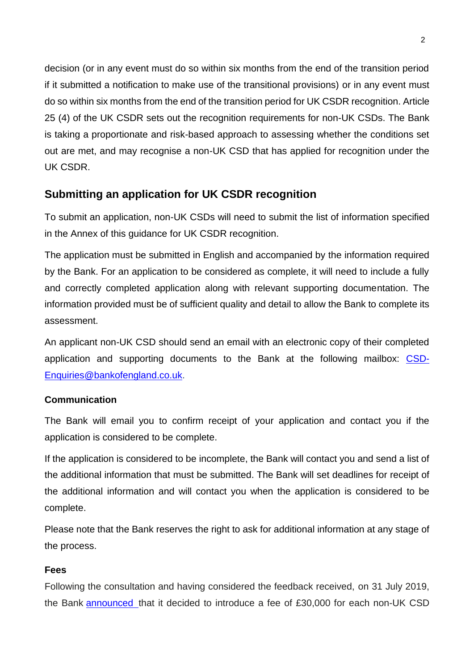decision (or in any event must do so within six months from the end of the transition period if it submitted a notification to make use of the transitional provisions) or in any event must do so within six months from the end of the transition period for UK CSDR recognition. Article 25 (4) of the UK CSDR sets out the recognition requirements for non-UK CSDs. The Bank is taking a proportionate and risk-based approach to assessing whether the conditions set out are met, and may recognise a non-UK CSD that has applied for recognition under the UK CSDR.

## **Submitting an application for UK CSDR recognition**

To submit an application, non-UK CSDs will need to submit the list of information specified in the Annex of this guidance for UK CSDR recognition.

The application must be submitted in English and accompanied by the information required by the Bank. For an application to be considered as complete, it will need to include a fully and correctly completed application along with relevant supporting documentation. The information provided must be of sufficient quality and detail to allow the Bank to complete its assessment.

An applicant non-UK CSD should send an email with an electronic copy of their completed application and supporting documents to the Bank at the following mailbox: [CSD-](mailto:CSD-Enquiries@bankofengland.co.uk)[Enquiries@bankofengland.co.uk.](mailto:CSD-Enquiries@bankofengland.co.uk)

## **Communication**

The Bank will email you to confirm receipt of your application and contact you if the application is considered to be complete.

If the application is considered to be incomplete, the Bank will contact you and send a list of the additional information that must be submitted. The Bank will set deadlines for receipt of the additional information and will contact you when the application is considered to be complete.

Please note that the Bank reserves the right to ask for additional information at any stage of the process.

### **Fees**

Following the consultation and having considered the feedback received, on 31 July 2019, the Bank [announced](https://www.bankofengland.co.uk/paper/2019/policy-statement-on-fees-regime-for-fmi-supervision) that it decided to introduce a fee of £30,000 for each non-UK CSD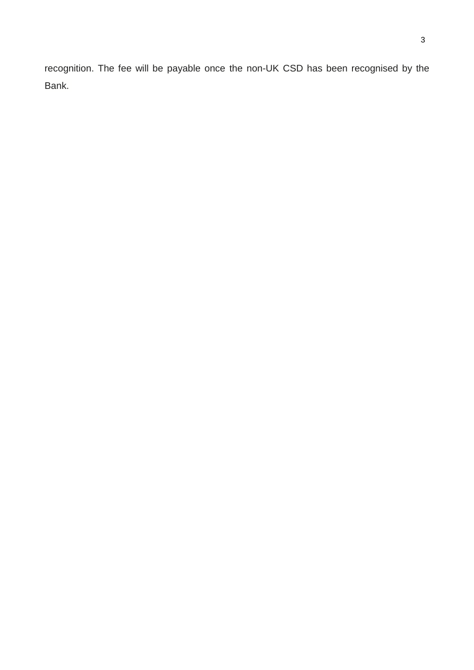recognition. The fee will be payable once the non-UK CSD has been recognised by the Bank.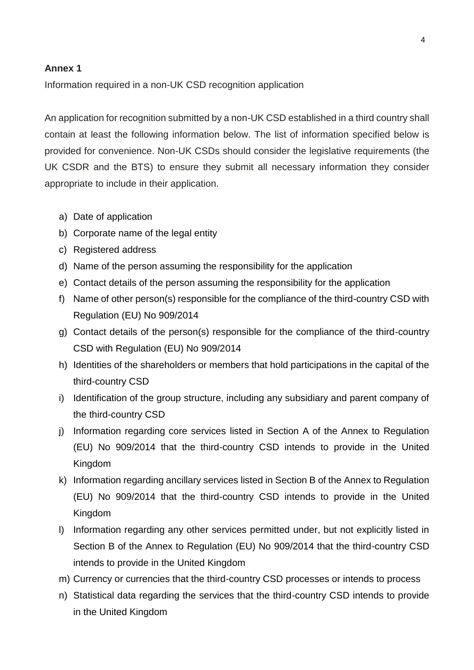#### **Annex 1**

Information required in a non-UK CSD recognition application

An application for recognition submitted by a non-UK CSD established in a third country shall contain at least the following information below. The list of information specified below is provided for convenience. Non-UK CSDs should consider the legislative requirements (the UK CSDR and the BTS) to ensure they submit all necessary information they consider appropriate to include in their application.

- a) Date of application
- b) Corporate name of the legal entity
- c) Registered address
- d) Name of the person assuming the responsibility for the application
- e) Contact details of the person assuming the responsibility for the application
- f) Name of other person(s) responsible for the compliance of the third-country CSD with Regulation (EU) No 909/2014
- g) Contact details of the person(s) responsible for the compliance of the third-country CSD with Regulation (EU) No 909/2014
- h) Identities of the shareholders or members that hold participations in the capital of the third-country CSD
- i) Identification of the group structure, including any subsidiary and parent company of the third-country CSD
- j) Information regarding core services listed in Section A of the Annex to Regulation (EU) No 909/2014 that the third-country CSD intends to provide in the United Kingdom
- k) Information regarding ancillary services listed in Section B of the Annex to Regulation (EU) No 909/2014 that the third-country CSD intends to provide in the United Kingdom
- l) Information regarding any other services permitted under, but not explicitly listed in Section B of the Annex to Regulation (EU) No 909/2014 that the third-country CSD intends to provide in the United Kingdom
- m) Currency or currencies that the third-country CSD processes or intends to process
- n) Statistical data regarding the services that the third-country CSD intends to provide in the United Kingdom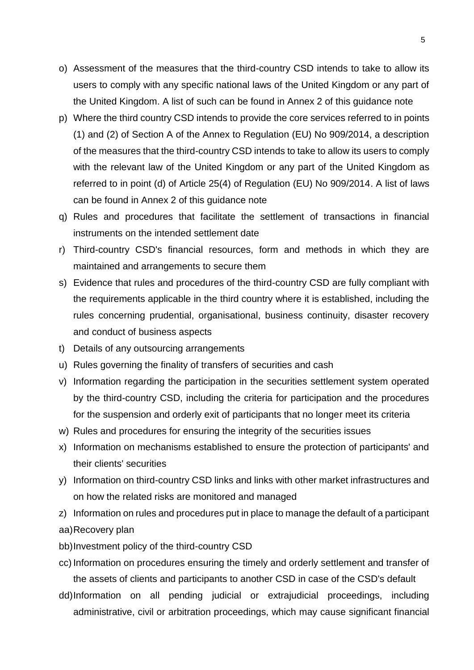- o) Assessment of the measures that the third-country CSD intends to take to allow its users to comply with any specific national laws of the United Kingdom or any part of the United Kingdom. A list of such can be found in Annex 2 of this guidance note
- p) Where the third country CSD intends to provide the core services referred to in points (1) and (2) of Section A of the Annex to Regulation (EU) No 909/2014, a description of the measures that the third-country CSD intends to take to allow its users to comply with the relevant law of the United Kingdom or any part of the United Kingdom as referred to in point (d) of Article 25(4) of Regulation (EU) No 909/2014. A list of laws can be found in Annex 2 of this guidance note
- q) Rules and procedures that facilitate the settlement of transactions in financial instruments on the intended settlement date
- r) Third-country CSD's financial resources, form and methods in which they are maintained and arrangements to secure them
- s) Evidence that rules and procedures of the third-country CSD are fully compliant with the requirements applicable in the third country where it is established, including the rules concerning prudential, organisational, business continuity, disaster recovery and conduct of business aspects
- t) Details of any outsourcing arrangements
- u) Rules governing the finality of transfers of securities and cash
- v) Information regarding the participation in the securities settlement system operated by the third-country CSD, including the criteria for participation and the procedures for the suspension and orderly exit of participants that no longer meet its criteria
- w) Rules and procedures for ensuring the integrity of the securities issues
- x) Information on mechanisms established to ensure the protection of participants' and their clients' securities
- y) Information on third-country CSD links and links with other market infrastructures and on how the related risks are monitored and managed
- z) Information on rules and procedures put in place to manage the default of a participant aa)Recovery plan
- bb)Investment policy of the third-country CSD
- cc) Information on procedures ensuring the timely and orderly settlement and transfer of the assets of clients and participants to another CSD in case of the CSD's default
- dd)Information on all pending judicial or extrajudicial proceedings, including administrative, civil or arbitration proceedings, which may cause significant financial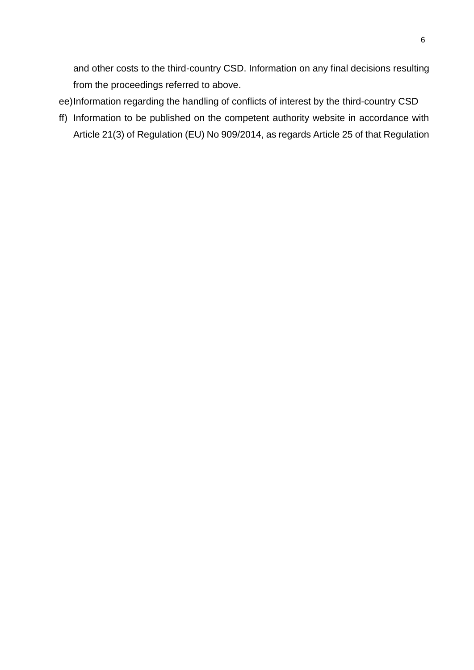and other costs to the third-country CSD. Information on any final decisions resulting from the proceedings referred to above.

- ee)Information regarding the handling of conflicts of interest by the third-country CSD
- ff) Information to be published on the competent authority website in accordance with Article 21(3) of Regulation (EU) No 909/2014, as regards Article 25 of that Regulation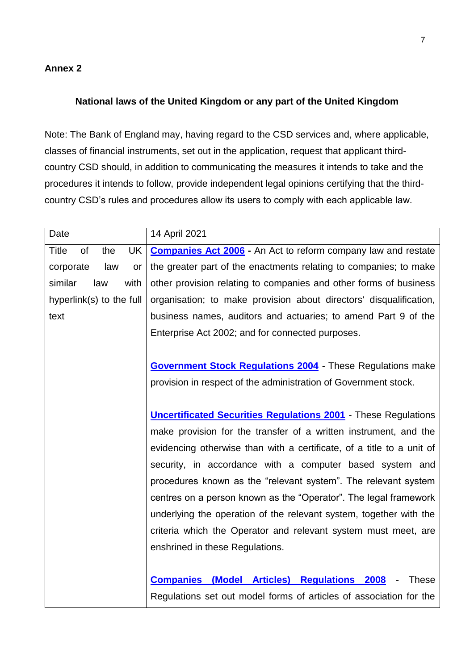#### **Annex 2**

#### **National laws of the United Kingdom or any part of the United Kingdom**

Note: The Bank of England may, having regard to the CSD services and, where applicable, classes of financial instruments, set out in the application, request that applicant thirdcountry CSD should, in addition to communicating the measures it intends to take and the procedures it intends to follow, provide independent legal opinions certifying that the thirdcountry CSD's rules and procedures allow its users to comply with each applicable law.

| Date                            | 14 April 2021                                                                                  |
|---------------------------------|------------------------------------------------------------------------------------------------|
| <b>Title</b><br>of<br>UK<br>the | <b>Companies Act 2006 - An Act to reform company law and restate</b>                           |
| corporate<br>law<br>or          | the greater part of the enactments relating to companies; to make                              |
| similar<br>law<br>with          | other provision relating to companies and other forms of business                              |
| hyperlink(s) to the full        | organisation; to make provision about directors' disqualification,                             |
| text                            | business names, auditors and actuaries; to amend Part 9 of the                                 |
|                                 | Enterprise Act 2002; and for connected purposes.                                               |
|                                 |                                                                                                |
|                                 | <b>Government Stock Regulations 2004</b> - These Regulations make                              |
|                                 | provision in respect of the administration of Government stock.                                |
|                                 |                                                                                                |
|                                 | <b>Uncertificated Securities Regulations 2001</b> - These Regulations                          |
|                                 | make provision for the transfer of a written instrument, and the                               |
|                                 | evidencing otherwise than with a certificate, of a title to a unit of                          |
|                                 | security, in accordance with a computer based system and                                       |
|                                 | procedures known as the "relevant system". The relevant system                                 |
|                                 | centres on a person known as the "Operator". The legal framework                               |
|                                 | underlying the operation of the relevant system, together with the                             |
|                                 | criteria which the Operator and relevant system must meet, are                                 |
|                                 | enshrined in these Regulations.                                                                |
|                                 |                                                                                                |
|                                 | <b>Companies (Model Articles) Regulations 2008</b><br><b>These</b><br>$\overline{\phantom{a}}$ |
|                                 | Regulations set out model forms of articles of association for the                             |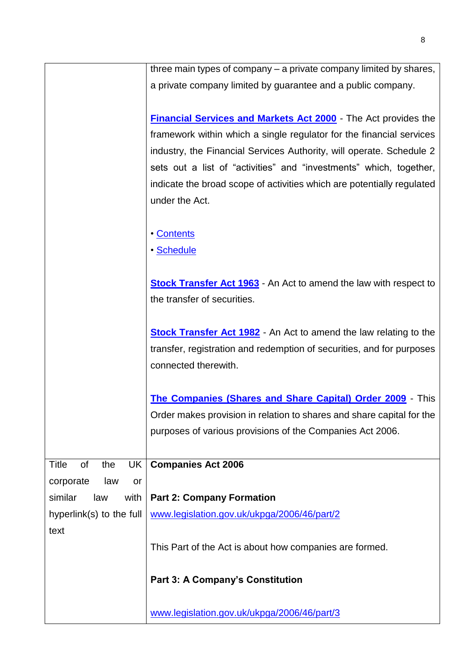| three main types of company – a private company limited by shares,       |
|--------------------------------------------------------------------------|
| a private company limited by guarantee and a public company.             |
|                                                                          |
| <b>Financial Services and Markets Act 2000</b> - The Act provides the    |
| framework within which a single regulator for the financial services     |
| industry, the Financial Services Authority, will operate. Schedule 2     |
| sets out a list of "activities" and "investments" which, together,       |
| indicate the broad scope of activities which are potentially regulated   |
| under the Act.                                                           |
|                                                                          |
| • Contents                                                               |
| • Schedule                                                               |
|                                                                          |
| <b>Stock Transfer Act 1963</b> - An Act to amend the law with respect to |
| the transfer of securities.                                              |
|                                                                          |
| <b>Stock Transfer Act 1982</b> - An Act to amend the law relating to the |
| transfer, registration and redemption of securities, and for purposes    |
| connected therewith.                                                     |
|                                                                          |
| The Companies (Shares and Share Capital) Order 2009 - This               |
| Order makes provision in relation to shares and share capital for the    |
| purposes of various provisions of the Companies Act 2006.                |
| <b>Companies Act 2006</b>                                                |
|                                                                          |
| <b>Part 2: Company Formation</b>                                         |
| www.legislation.gov.uk/ukpga/2006/46/part/2                              |
|                                                                          |
| This Part of the Act is about how companies are formed.                  |
|                                                                          |
| <b>Part 3: A Company's Constitution</b>                                  |
|                                                                          |
| www.legislation.gov.uk/ukpga/2006/46/part/3                              |
|                                                                          |

8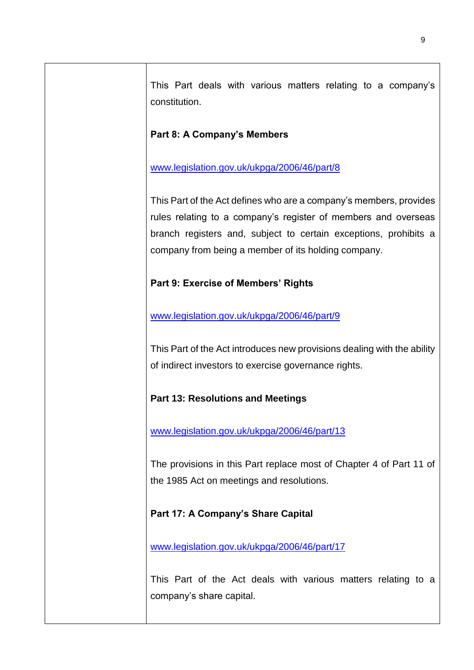| This Part deals with various matters relating to a company's<br>constitution.                                                                                                                                                                                   |
|-----------------------------------------------------------------------------------------------------------------------------------------------------------------------------------------------------------------------------------------------------------------|
| <b>Part 8: A Company's Members</b>                                                                                                                                                                                                                              |
| www.legislation.gov.uk/ukpga/2006/46/part/8                                                                                                                                                                                                                     |
| This Part of the Act defines who are a company's members, provides<br>rules relating to a company's register of members and overseas<br>branch registers and, subject to certain exceptions, prohibits a<br>company from being a member of its holding company. |
| Part 9: Exercise of Members' Rights                                                                                                                                                                                                                             |
| www.legislation.gov.uk/ukpga/2006/46/part/9                                                                                                                                                                                                                     |
| This Part of the Act introduces new provisions dealing with the ability<br>of indirect investors to exercise governance rights.                                                                                                                                 |
| <b>Part 13: Resolutions and Meetings</b>                                                                                                                                                                                                                        |
| www.legislation.gov.uk/ukpga/2006/46/part/13                                                                                                                                                                                                                    |
| The provisions in this Part replace most of Chapter 4 of Part 11 of<br>the 1985 Act on meetings and resolutions.                                                                                                                                                |
| Part 17: A Company's Share Capital                                                                                                                                                                                                                              |
| www.legislation.gov.uk/ukpga/2006/46/part/17                                                                                                                                                                                                                    |
| This Part of the Act deals with various matters relating to a<br>company's share capital.                                                                                                                                                                       |